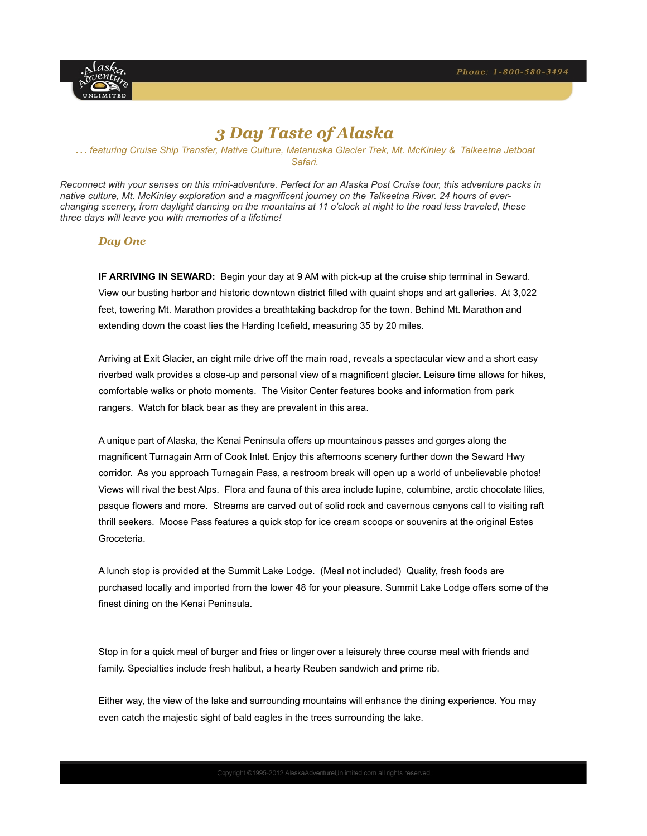

# *3 Day Taste of Alaska*

## *… featuring Cruise Ship Transfer, Native Culture, Matanuska Glacier Trek, Mt. McKinley & Talkeetna Jetboat Safari.*

*Reconnect with your senses on this mini-adventure. Perfect for an Alaska Post Cruise tour, this adventure packs in native culture, Mt. McKinley exploration and a magnificent journey on the Talkeetna River. 24 hours of everchanging scenery, from daylight dancing on the mountains at 11 o'clock at night to the road less traveled, these three days will leave you with memories of a lifetime!* 

# *Day One*

**IF ARRIVING IN SEWARD:** Begin your day at 9 AM with pick-up at the cruise ship terminal in Seward. View our busting harbor and historic downtown district filled with quaint shops and art galleries. At 3,022 feet, towering Mt. Marathon provides a breathtaking backdrop for the town. Behind Mt. Marathon and extending down the coast lies the Harding Icefield, measuring 35 by 20 miles.

Arriving at Exit Glacier, an eight mile drive off the main road, reveals a spectacular view and a short easy riverbed walk provides a close-up and personal view of a magnificent glacier. Leisure time allows for hikes, comfortable walks or photo moments. The Visitor Center features books and information from park rangers. Watch for black bear as they are prevalent in this area.

A unique part of Alaska, the Kenai Peninsula offers up mountainous passes and gorges along the magnificent Turnagain Arm of Cook Inlet. Enjoy this afternoons scenery further down the Seward Hwy corridor. As you approach Turnagain Pass, a restroom break will open up a world of unbelievable photos! Views will rival the best Alps. Flora and fauna of this area include lupine, columbine, arctic chocolate lilies, pasque flowers and more. Streams are carved out of solid rock and cavernous canyons call to visiting raft thrill seekers. Moose Pass features a quick stop for ice cream scoops or souvenirs at the original Estes Groceteria.

A lunch stop is provided at the Summit Lake Lodge. (Meal not included) Quality, fresh foods are purchased locally and imported from the lower 48 for your pleasure. Summit Lake Lodge offers some of the finest dining on the Kenai Peninsula.

Stop in for a quick meal of burger and fries or linger over a leisurely three course meal with friends and family. Specialties include fresh halibut, a hearty Reuben sandwich and prime rib.

Either way, the view of the lake and surrounding mountains will enhance the dining experience. You may even catch the majestic sight of bald eagles in the trees surrounding the lake.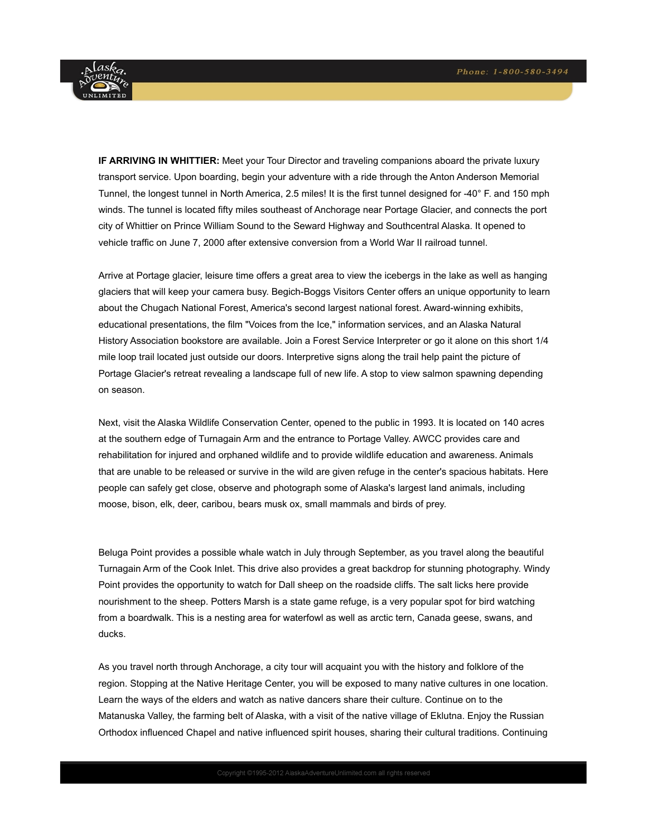

**IF ARRIVING IN WHITTIER:** Meet your Tour Director and traveling companions aboard the private luxury transport service. Upon boarding, begin your adventure with a ride through the Anton Anderson Memorial Tunnel, the longest tunnel in North America, 2.5 miles! It is the first tunnel designed for -40° F. and 150 mph winds. The tunnel is located fifty miles southeast of Anchorage near Portage Glacier, and connects the port city of Whittier on Prince William Sound to the Seward Highway and Southcentral Alaska. It opened to vehicle traffic on June 7, 2000 after extensive conversion from a World War II railroad tunnel.

Arrive at Portage glacier, leisure time offers a great area to view the icebergs in the lake as well as hanging glaciers that will keep your camera busy. Begich-Boggs Visitors Center offers an unique opportunity to learn about the Chugach National Forest, America's second largest national forest. Award-winning exhibits, educational presentations, the film "Voices from the Ice," information services, and an Alaska Natural History Association bookstore are available. Join a Forest Service Interpreter or go it alone on this short 1/4 mile loop trail located just outside our doors. Interpretive signs along the trail help paint the picture of Portage Glacier's retreat revealing a landscape full of new life. A stop to view salmon spawning depending on season.

Next, visit the Alaska Wildlife Conservation Center, opened to the public in 1993. It is located on 140 acres at the southern edge of Turnagain Arm and the entrance to Portage Valley. AWCC provides care and rehabilitation for injured and orphaned wildlife and to provide wildlife education and awareness. Animals that are unable to be released or survive in the wild are given refuge in the center's spacious habitats. Here people can safely get close, observe and photograph some of Alaska's largest land animals, including moose, bison, elk, deer, caribou, bears musk ox, small mammals and birds of prey.

Beluga Point provides a possible whale watch in July through September, as you travel along the beautiful Turnagain Arm of the Cook Inlet. This drive also provides a great backdrop for stunning photography. Windy Point provides the opportunity to watch for Dall sheep on the roadside cliffs. The salt licks here provide nourishment to the sheep. Potters Marsh is a state game refuge, is a very popular spot for bird watching from a boardwalk. This is a nesting area for waterfowl as well as arctic tern, Canada geese, swans, and ducks.

As you travel north through Anchorage, a city tour will acquaint you with the history and folklore of the region. Stopping at the Native Heritage Center, you will be exposed to many native cultures in one location. Learn the ways of the elders and watch as native dancers share their culture. Continue on to the Matanuska Valley, the farming belt of Alaska, with a visit of the native village of Eklutna. Enjoy the Russian Orthodox influenced Chapel and native influenced spirit houses, sharing their cultural traditions. Continuing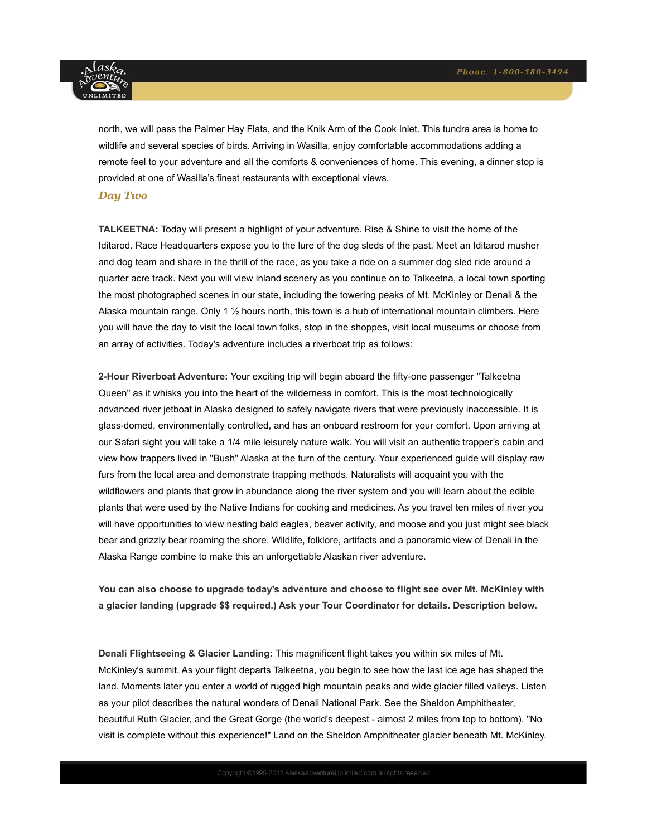

north, we will pass the Palmer Hay Flats, and the Knik Arm of the Cook Inlet. This tundra area is home to wildlife and several species of birds. Arriving in Wasilla, enjoy comfortable accommodations adding a remote feel to your adventure and all the comforts & conveniences of home. This evening, a dinner stop is provided at one of Wasilla's finest restaurants with exceptional views.

#### *Day Two*

**TALKEETNA:** Today will present a highlight of your adventure. Rise & Shine to visit the home of the Iditarod. Race Headquarters expose you to the lure of the dog sleds of the past. Meet an Iditarod musher and dog team and share in the thrill of the race, as you take a ride on a summer dog sled ride around a quarter acre track. Next you will view inland scenery as you continue on to Talkeetna, a local town sporting the most photographed scenes in our state, including the towering peaks of Mt. McKinley or Denali & the Alaska mountain range. Only 1 ½ hours north, this town is a hub of international mountain climbers. Here you will have the day to visit the local town folks, stop in the shoppes, visit local museums or choose from an array of activities. Today's adventure includes a riverboat trip as follows:

**2-Hour Riverboat Adventure:** Your exciting trip will begin aboard the fifty-one passenger "Talkeetna Queen" as it whisks you into the heart of the wilderness in comfort. This is the most technologically advanced river jetboat in Alaska designed to safely navigate rivers that were previously inaccessible. It is glass-domed, environmentally controlled, and has an onboard restroom for your comfort. Upon arriving at our Safari sight you will take a 1/4 mile leisurely nature walk. You will visit an authentic trapper's cabin and view how trappers lived in "Bush" Alaska at the turn of the century. Your experienced guide will display raw furs from the local area and demonstrate trapping methods. Naturalists will acquaint you with the wildflowers and plants that grow in abundance along the river system and you will learn about the edible plants that were used by the Native Indians for cooking and medicines. As you travel ten miles of river you will have opportunities to view nesting bald eagles, beaver activity, and moose and you just might see black bear and grizzly bear roaming the shore. Wildlife, folklore, artifacts and a panoramic view of Denali in the Alaska Range combine to make this an unforgettable Alaskan river adventure.

**You can also choose to upgrade today's adventure and choose to flight see over Mt. McKinley with a glacier landing (upgrade \$\$ required.) Ask your Tour Coordinator for details. Description below.** 

**Denali Flightseeing & Glacier Landing:** This magnificent flight takes you within six miles of Mt. McKinley's summit. As your flight departs Talkeetna, you begin to see how the last ice age has shaped the land. Moments later you enter a world of rugged high mountain peaks and wide glacier filled valleys. Listen as your pilot describes the natural wonders of Denali National Park. See the Sheldon Amphitheater, beautiful Ruth Glacier, and the Great Gorge (the world's deepest - almost 2 miles from top to bottom). "No visit is complete without this experience!" Land on the Sheldon Amphitheater glacier beneath Mt. McKinley.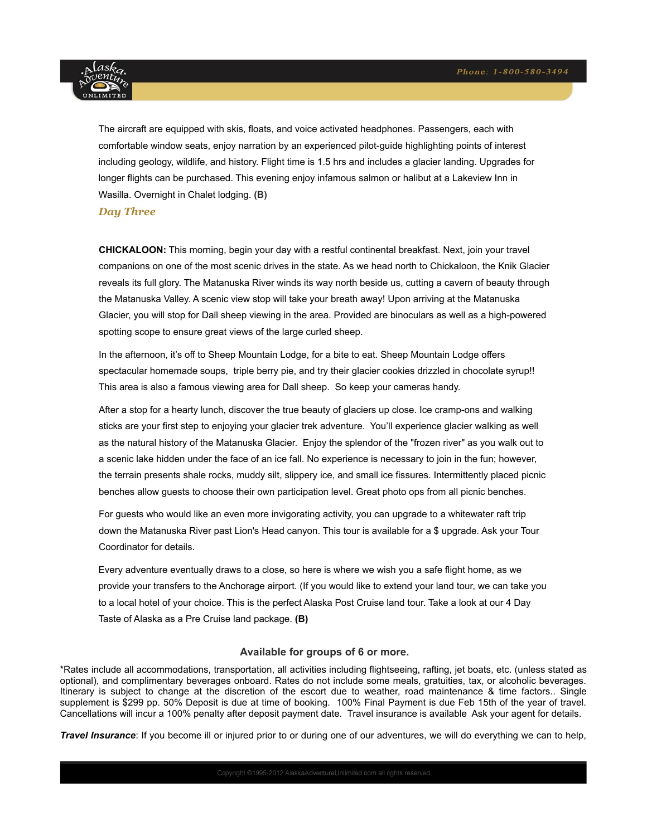

The aircraft are equipped with skis, floats, and voice activated headphones. Passengers, each with comfortable window seats, enjoy narration by an experienced pilot-guide highlighting points of interest including geology, wildlife, and history. Flight time is 1.5 hrs and includes a glacier landing. Upgrades for longer flights can be purchased. This evening enjoy infamous salmon or halibut at a Lakeview Inn in Wasilla. Overnight in Chalet lodging. **(B)**

#### *Day Three*

**CHICKALOON:** This morning, begin your day with a restful continental breakfast. Next, join your travel companions on one of the most scenic drives in the state. As we head north to Chickaloon, the Knik Glacier reveals its full glory. The Matanuska River winds its way north beside us, cutting a cavern of beauty through the Matanuska Valley. A scenic view stop will take your breath away! Upon arriving at the Matanuska Glacier, you will stop for Dall sheep viewing in the area. Provided are binoculars as well as a high-powered spotting scope to ensure great views of the large curled sheep.

In the afternoon, it's off to Sheep Mountain Lodge, for a bite to eat. Sheep Mountain Lodge offers spectacular homemade soups, triple berry pie, and try their glacier cookies drizzled in chocolate syrup!! This area is also a famous viewing area for Dall sheep. So keep your cameras handy.

After a stop for a hearty lunch, discover the true beauty of glaciers up close. Ice cramp-ons and walking sticks are your first step to enjoying your glacier trek adventure. You'll experience glacier walking as well as the natural history of the Matanuska Glacier. Enjoy the splendor of the "frozen river" as you walk out to a scenic lake hidden under the face of an ice fall. No experience is necessary to join in the fun; however, the terrain presents shale rocks, muddy silt, slippery ice, and small ice fissures. Intermittently placed picnic benches allow guests to choose their own participation level. Great photo ops from all picnic benches.

For guests who would like an even more invigorating activity, you can upgrade to a whitewater raft trip down the Matanuska River past Lion's Head canyon. This tour is available for a \$ upgrade. Ask your Tour Coordinator for details.

Every adventure eventually draws to a close, so here is where we wish you a safe flight home, as we provide your transfers to the Anchorage airport. (If you would like to extend your land tour, we can take you to a local hotel of your choice. This is the perfect Alaska Post Cruise land tour. Take a look at our 4 Day Taste of Alaska as a Pre Cruise land package. **(B)**

## **Available for groups of 6 or more.**

\*Rates include all accommodations, transportation, all activities including flightseeing, rafting, jet boats, etc. (unless stated as optional), and complimentary beverages onboard. Rates do not include some meals, gratuities, tax, or alcoholic beverages. Itinerary is subject to change at the discretion of the escort due to weather, road maintenance & time factors.. Single supplement is \$299 pp. 50% Deposit is due at time of booking. 100% Final Payment is due Feb 15th of the year of travel. Cancellations will incur a 100% penalty after deposit payment date. Travel insurance is available Ask your agent for details.

*Travel Insurance*: If you become ill or injured prior to or during one of our adventures, we will do everything we can to help,